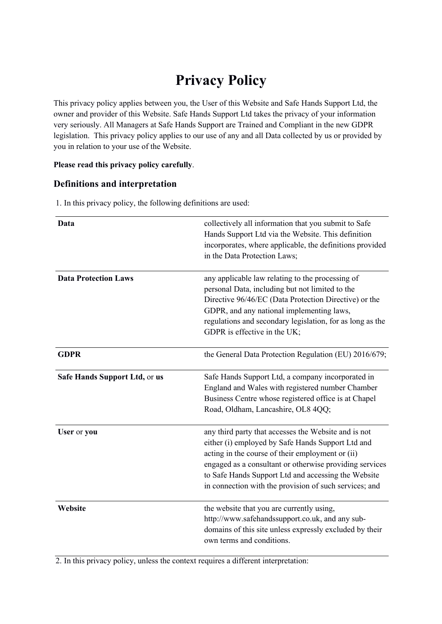# **Privacy Policy**

This privacy policy applies between you, the User of this Website and Safe Hands Support Ltd, the owner and provider of this Website. Safe Hands Support Ltd takes the privacy of your information very seriously. All Managers at Safe Hands Support are Trained and Compliant in the new GDPR legislation. This privacy policy applies to our use of any and all Data collected by us or provided by you in relation to your use of the Website.

## **Please read this privacy policy carefully**.

## **Definitions and interpretation**

| Data                          | collectively all information that you submit to Safe<br>Hands Support Ltd via the Website. This definition<br>incorporates, where applicable, the definitions provided<br>in the Data Protection Laws;                                                                                                                                    |
|-------------------------------|-------------------------------------------------------------------------------------------------------------------------------------------------------------------------------------------------------------------------------------------------------------------------------------------------------------------------------------------|
| <b>Data Protection Laws</b>   | any applicable law relating to the processing of<br>personal Data, including but not limited to the<br>Directive 96/46/EC (Data Protection Directive) or the<br>GDPR, and any national implementing laws,<br>regulations and secondary legislation, for as long as the<br>GDPR is effective in the UK;                                    |
| <b>GDPR</b>                   | the General Data Protection Regulation (EU) 2016/679;                                                                                                                                                                                                                                                                                     |
| Safe Hands Support Ltd, or us | Safe Hands Support Ltd, a company incorporated in<br>England and Wales with registered number Chamber<br>Business Centre whose registered office is at Chapel<br>Road, Oldham, Lancashire, OL8 4QQ;                                                                                                                                       |
| User or you                   | any third party that accesses the Website and is not<br>either (i) employed by Safe Hands Support Ltd and<br>acting in the course of their employment or (ii)<br>engaged as a consultant or otherwise providing services<br>to Safe Hands Support Ltd and accessing the Website<br>in connection with the provision of such services; and |
| Website                       | the website that you are currently using,<br>http://www.safehandssupport.co.uk, and any sub-<br>domains of this site unless expressly excluded by their<br>own terms and conditions.                                                                                                                                                      |

1. In this privacy policy, the following definitions are used:

2. In this privacy policy, unless the context requires a different interpretation: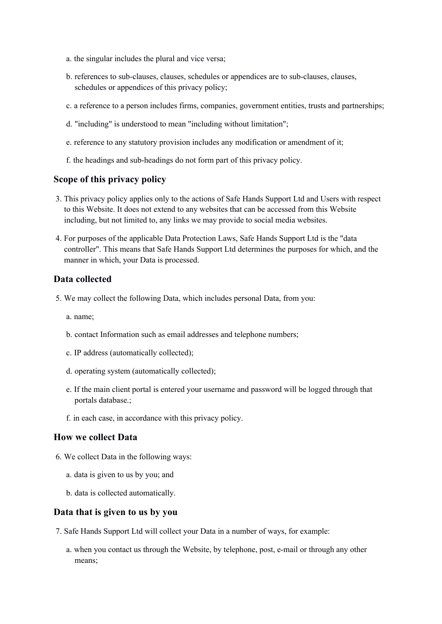- a. the singular includes the plural and vice versa;
- b. references to sub-clauses, clauses, schedules or appendices are to sub-clauses, clauses, schedules or appendices of this privacy policy;
- c. a reference to a person includes firms, companies, government entities, trusts and partnerships;
- d. "including" is understood to mean "including without limitation";
- e. reference to any statutory provision includes any modification or amendment of it;
- f. the headings and sub-headings do not form part of this privacy policy.

#### **Scope of this privacy policy**

- 3. This privacy policy applies only to the actions of Safe Hands Support Ltd and Users with respect to this Website. It does not extend to any websites that can be accessed from this Website including, but not limited to, any links we may provide to social media websites.
- 4. For purposes of the applicable Data Protection Laws, Safe Hands Support Ltd is the "data controller". This means that Safe Hands Support Ltd determines the purposes for which, and the manner in which, your Data is processed.

### **Data collected**

- 5. We may collect the following Data, which includes personal Data, from you:
	- a. name;
	- b. contact Information such as email addresses and telephone numbers;
	- c. IP address (automatically collected);
	- d. operating system (automatically collected);
	- e. If the main client portal is entered your username and password will be logged through that portals database.;
	- f. in each case, in accordance with this privacy policy.

## **How we collect Data**

- 6. We collect Data in the following ways:
	- a. data is given to us by you; and
	- b. data is collected automatically.

#### **Data that is given to us by you**

- 7. Safe Hands Support Ltd will collect your Data in a number of ways, for example:
	- a. when you contact us through the Website, by telephone, post, e-mail or through any other means;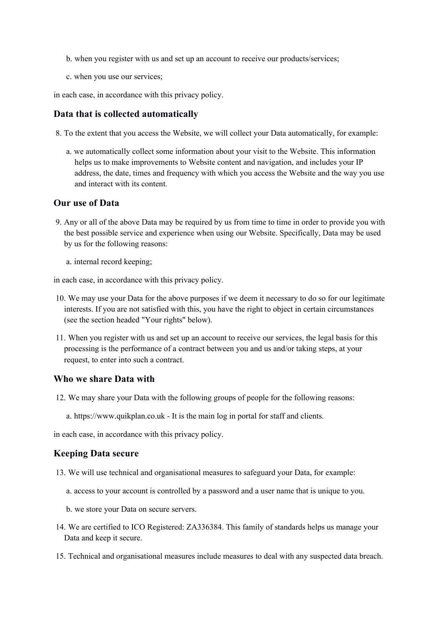- b. when you register with us and set up an account to receive our products/services;
- c. when you use our services;

in each case, in accordance with this privacy policy.

#### **Data that is collected automatically**

8. To the extent that you access the Website, we will collect your Data automatically, for example:

a. we automatically collect some information about your visit to the Website. This information helps us to make improvements to Website content and navigation, and includes your IP address, the date, times and frequency with which you access the Website and the way you use and interact with its content.

## **Our use of Data**

- 9. Any or all of the above Data may be required by us from time to time in order to provide you with the best possible service and experience when using our Website. Specifically, Data may be used by us for the following reasons:
	- a. internal record keeping;

in each case, in accordance with this privacy policy.

- 10. We may use your Data for the above purposes if we deem it necessary to do so for our legitimate interests. If you are not satisfied with this, you have the right to object in certain circumstances (see the section headed "Your rights" below).
- 11. When you register with us and set up an account to receive our services, the legal basis for this processing is the performance of a contract between you and us and/or taking steps, at your request, to enter into such a contract.

#### **Who we share Data with**

- 12. We may share your Data with the following groups of people for the following reasons:
	- a. https://www.quikplan.co.uk It is the main log in portal for staff and clients.

in each case, in accordance with this privacy policy.

#### **Keeping Data secure**

- 13. We will use technical and organisational measures to safeguard your Data, for example:
	- a. access to your account is controlled by a password and a user name that is unique to you.
	- b. we store your Data on secure servers.
- 14. We are certified to ICO Registered: ZA336384. This family of standards helps us manage your Data and keep it secure.
- 15. Technical and organisational measures include measures to deal with any suspected data breach.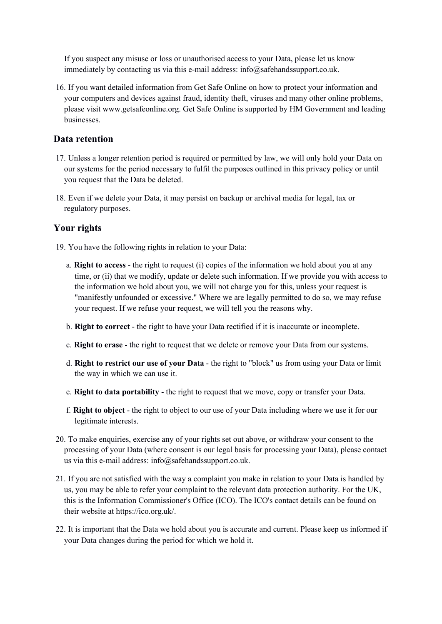If you suspect any misuse or loss or unauthorised access to your Data, please let us know immediately by contacting us via this e-mail address: info@safehandssupport.co.uk.

16. If you want detailed information from Get Safe Online on how to protect your information and your computers and devices against fraud, identity theft, viruses and many other online problems, please visit www.getsafeonline.org. Get Safe Online is supported by HM Government and leading businesses.

## **Data retention**

- 17. Unless a longer retention period is required or permitted by law, we will only hold your Data on our systems for the period necessary to fulfil the purposes outlined in this privacy policy or until you request that the Data be deleted.
- 18. Even if we delete your Data, it may persist on backup or archival media for legal, tax or regulatory purposes.

# **Your rights**

- 19. You have the following rights in relation to your Data:
	- a. **Right to access** the right to request (i) copies of the information we hold about you at any time, or (ii) that we modify, update or delete such information. If we provide you with access to the information we hold about you, we will not charge you for this, unless your request is "manifestly unfounded or excessive." Where we are legally permitted to do so, we may refuse your request. If we refuse your request, we will tell you the reasons why.
	- b. **Right to correct** the right to have your Data rectified if it is inaccurate or incomplete.
	- c. **Right to erase** the right to request that we delete or remove your Data from our systems.
	- d. **Right to restrict our use of your Data** the right to "block" us from using your Data or limit the way in which we can use it.
	- e. **Right to data portability** the right to request that we move, copy or transfer your Data.
	- f. **Right to object** the right to object to our use of your Data including where we use it for our legitimate interests.
- 20. To make enquiries, exercise any of your rights set out above, or withdraw your consent to the processing of your Data (where consent is our legal basis for processing your Data), please contact us via this e-mail address: info@safehandssupport.co.uk.
- 21. If you are not satisfied with the way a complaint you make in relation to your Data is handled by us, you may be able to refer your complaint to the relevant data protection authority. For the UK, this is the Information Commissioner's Office (ICO). The ICO's contact details can be found on their website at https://ico.org.uk/.
- 22. It is important that the Data we hold about you is accurate and current. Please keep us informed if your Data changes during the period for which we hold it.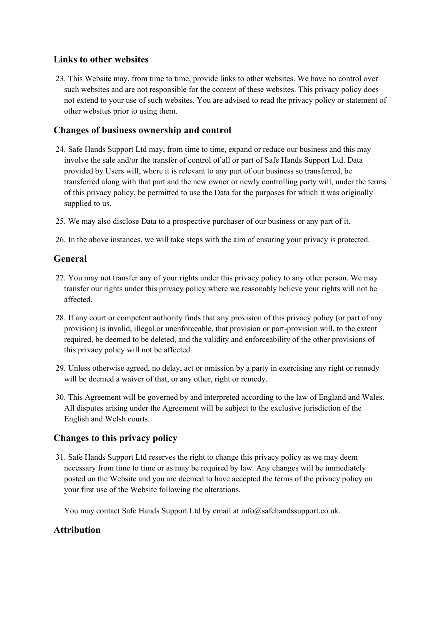# **Links to other websites**

23. This Website may, from time to time, provide links to other websites. We have no control over such websites and are not responsible for the content of these websites. This privacy policy does not extend to your use of such websites. You are advised to read the privacy policy or statement of other websites prior to using them.

## **Changes of business ownership and control**

- 24. Safe Hands Support Ltd may, from time to time, expand or reduce our business and this may involve the sale and/or the transfer of control of all or part of Safe Hands Support Ltd. Data provided by Users will, where it is relevant to any part of our business so transferred, be transferred along with that part and the new owner or newly controlling party will, under the terms of this privacy policy, be permitted to use the Data for the purposes for which it was originally supplied to us.
- 25. We may also disclose Data to a prospective purchaser of our business or any part of it.

26. In the above instances, we will take steps with the aim of ensuring your privacy is protected.

## **General**

- 27. You may not transfer any of your rights under this privacy policy to any other person. We may transfer our rights under this privacy policy where we reasonably believe your rights will not be affected.
- 28. If any court or competent authority finds that any provision of this privacy policy (or part of any provision) is invalid, illegal or unenforceable, that provision or part-provision will, to the extent required, be deemed to be deleted, and the validity and enforceability of the other provisions of this privacy policy will not be affected.
- 29. Unless otherwise agreed, no delay, act or omission by a party in exercising any right or remedy will be deemed a waiver of that, or any other, right or remedy.
- 30. This Agreement will be governed by and interpreted according to the law of England and Wales. All disputes arising under the Agreement will be subject to the exclusive jurisdiction of the English and Welsh courts.

# **Changes to this privacy policy**

31. Safe Hands Support Ltd reserves the right to change this privacy policy as we may deem necessary from time to time or as may be required by law. Any changes will be immediately posted on the Website and you are deemed to have accepted the terms of the privacy policy on your first use of the Website following the alterations.

You may contact Safe Hands Support Ltd by email at info@safehandssupport.co.uk.

# **Attribution**